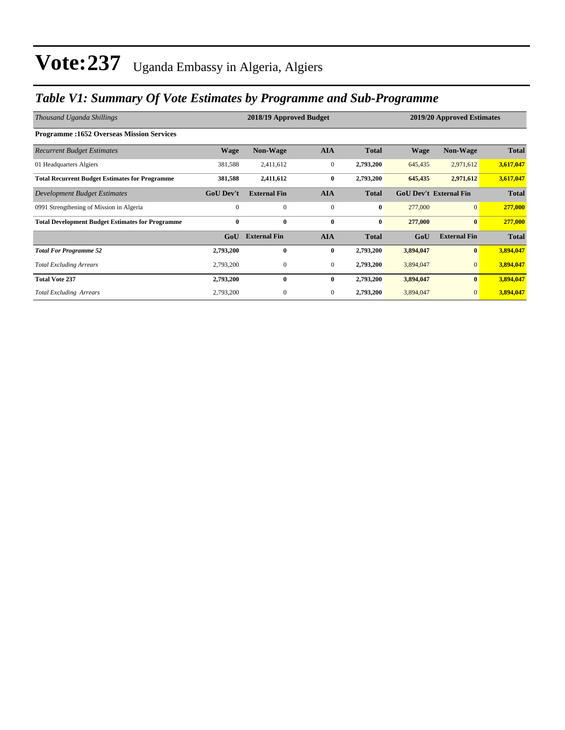## *Table V1: Summary Of Vote Estimates by Programme and Sub-Programme*

| Thousand Uganda Shillings                               |                  | 2018/19 Approved Budget |                | 2019/20 Approved Estimates |             |                               |              |
|---------------------------------------------------------|------------------|-------------------------|----------------|----------------------------|-------------|-------------------------------|--------------|
| <b>Programme:1652 Overseas Mission Services</b>         |                  |                         |                |                            |             |                               |              |
| <b>Recurrent Budget Estimates</b>                       | <b>Wage</b>      | <b>Non-Wage</b>         | <b>AIA</b>     | <b>Total</b>               | <b>Wage</b> | <b>Non-Wage</b>               | <b>Total</b> |
| 01 Headquarters Algiers                                 | 381,588          | 2,411,612               | $\mathbf{0}$   | 2,793,200                  | 645,435     | 2,971,612                     | 3,617,047    |
| <b>Total Recurrent Budget Estimates for Programme</b>   | 381,588          | 2,411,612               | $\bf{0}$       | 2,793,200                  | 645,435     | 2,971,612                     | 3,617,047    |
| Development Budget Estimates                            | <b>GoU Dev't</b> | <b>External Fin</b>     | <b>AIA</b>     | <b>Total</b>               |             | <b>GoU Dev't External Fin</b> | <b>Total</b> |
| 0991 Strengthening of Mission in Algeria                | $\mathbf{0}$     | $\mathbf{0}$            | $\mathbf{0}$   | $\bf{0}$                   | 277,000     | $\overline{0}$                | 277,000      |
| <b>Total Development Budget Estimates for Programme</b> | $\mathbf{0}$     | $\bf{0}$                | $\bf{0}$       | $\bf{0}$                   | 277,000     | $\mathbf{0}$                  | 277,000      |
|                                                         | GoU              | <b>External Fin</b>     | <b>AIA</b>     | <b>Total</b>               | GoU         | <b>External Fin</b>           | <b>Total</b> |
| <b>Total For Programme 52</b>                           | 2,793,200        | $\bf{0}$                | $\bf{0}$       | 2,793,200                  | 3,894,047   | $\bf{0}$                      | 3,894,047    |
| <b>Total Excluding Arrears</b>                          | 2,793,200        | 0                       | $\overline{0}$ | 2,793,200                  | 3,894,047   | $\mathbf{0}$                  | 3,894,047    |
| <b>Total Vote 237</b>                                   | 2,793,200        | $\mathbf{0}$            | $\bf{0}$       | 2,793,200                  | 3,894,047   | $\bf{0}$                      | 3,894,047    |
| <b>Total Excluding Arrears</b>                          | 2,793,200        | 0                       | $\overline{0}$ | 2,793,200                  | 3,894,047   | $\mathbf{0}$                  | 3,894,047    |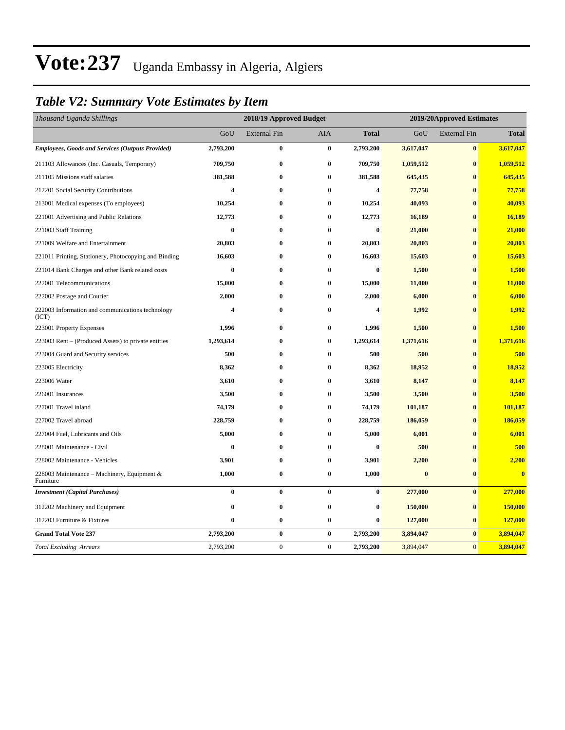## *Table V2: Summary Vote Estimates by Item*

| Thousand Uganda Shillings                                 |           | 2018/19 Approved Budget |              |              |           | 2019/20Approved Estimates |              |  |  |
|-----------------------------------------------------------|-----------|-------------------------|--------------|--------------|-----------|---------------------------|--------------|--|--|
|                                                           | GoU       | <b>External Fin</b>     | <b>AIA</b>   | <b>Total</b> | GoU       | <b>External Fin</b>       | <b>Total</b> |  |  |
| <b>Employees, Goods and Services (Outputs Provided)</b>   | 2,793,200 | $\bf{0}$                | $\bf{0}$     | 2,793,200    | 3,617,047 | $\bf{0}$                  | 3,617,047    |  |  |
| 211103 Allowances (Inc. Casuals, Temporary)               | 709,750   | $\bf{0}$                | $\bf{0}$     | 709,750      | 1,059,512 | $\bf{0}$                  | 1,059,512    |  |  |
| 211105 Missions staff salaries                            | 381,588   | $\bf{0}$                | $\bf{0}$     | 381,588      | 645,435   | $\bf{0}$                  | 645,435      |  |  |
| 212201 Social Security Contributions                      | 4         | $\bf{0}$                | $\mathbf{0}$ | 4            | 77,758    | $\mathbf{0}$              | 77,758       |  |  |
| 213001 Medical expenses (To employees)                    | 10,254    | $\bf{0}$                | $\bf{0}$     | 10,254       | 40,093    | $\bf{0}$                  | 40,093       |  |  |
| 221001 Advertising and Public Relations                   | 12,773    | $\bf{0}$                | $\bf{0}$     | 12,773       | 16,189    | $\bf{0}$                  | 16,189       |  |  |
| 221003 Staff Training                                     | $\bf{0}$  | $\bf{0}$                | $\bf{0}$     | $\bf{0}$     | 21,000    | $\bf{0}$                  | 21,000       |  |  |
| 221009 Welfare and Entertainment                          | 20,803    | $\bf{0}$                | $\bf{0}$     | 20,803       | 20,803    | $\mathbf{0}$              | 20,803       |  |  |
| 221011 Printing, Stationery, Photocopying and Binding     | 16,603    | $\bf{0}$                | $\bf{0}$     | 16,603       | 15,603    | $\bf{0}$                  | 15,603       |  |  |
| 221014 Bank Charges and other Bank related costs          | $\bf{0}$  | $\bf{0}$                | $\bf{0}$     | $\bf{0}$     | 1,500     | $\bf{0}$                  | 1,500        |  |  |
| 222001 Telecommunications                                 | 15,000    | $\bf{0}$                | $\bf{0}$     | 15,000       | 11,000    | $\bf{0}$                  | 11,000       |  |  |
| 222002 Postage and Courier                                | 2,000     | $\bf{0}$                | $\bf{0}$     | 2,000        | 6,000     | $\mathbf{0}$              | 6,000        |  |  |
| 222003 Information and communications technology<br>(ICT) | 4         | $\bf{0}$                | $\bf{0}$     | 4            | 1,992     | $\bf{0}$                  | 1,992        |  |  |
| 223001 Property Expenses                                  | 1,996     | $\bf{0}$                | $\bf{0}$     | 1,996        | 1,500     | $\bf{0}$                  | 1,500        |  |  |
| 223003 Rent – (Produced Assets) to private entities       | 1,293,614 | $\bf{0}$                | $\bf{0}$     | 1,293,614    | 1,371,616 | $\bf{0}$                  | 1,371,616    |  |  |
| 223004 Guard and Security services                        | 500       | $\bf{0}$                | $\bf{0}$     | 500          | 500       | $\mathbf{0}$              | 500          |  |  |
| 223005 Electricity                                        | 8,362     | $\bf{0}$                | $\bf{0}$     | 8,362        | 18,952    | $\mathbf{0}$              | 18,952       |  |  |
| 223006 Water                                              | 3,610     | $\bf{0}$                | $\bf{0}$     | 3,610        | 8,147     | $\bf{0}$                  | 8,147        |  |  |
| 226001 Insurances                                         | 3,500     | $\bf{0}$                | $\bf{0}$     | 3,500        | 3,500     | $\bf{0}$                  | 3,500        |  |  |
| 227001 Travel inland                                      | 74,179    | $\bf{0}$                | $\bf{0}$     | 74,179       | 101,187   | $\bf{0}$                  | 101,187      |  |  |
| 227002 Travel abroad                                      | 228,759   | $\bf{0}$                | $\bf{0}$     | 228,759      | 186,059   | $\bf{0}$                  | 186,059      |  |  |
| 227004 Fuel, Lubricants and Oils                          | 5,000     | $\bf{0}$                | $\bf{0}$     | 5,000        | 6,001     | $\bf{0}$                  | 6,001        |  |  |
| 228001 Maintenance - Civil                                | $\bf{0}$  | $\bf{0}$                | $\bf{0}$     | $\bf{0}$     | 500       | $\bf{0}$                  | 500          |  |  |
| 228002 Maintenance - Vehicles                             | 3,901     | $\bf{0}$                | $\bf{0}$     | 3,901        | 2,200     | $\bf{0}$                  | 2,200        |  |  |
| 228003 Maintenance – Machinery, Equipment &<br>Furniture  | 1,000     | $\bf{0}$                | $\bf{0}$     | 1,000        | $\bf{0}$  | $\bf{0}$                  | $\mathbf{0}$ |  |  |
| <b>Investment</b> (Capital Purchases)                     | $\bf{0}$  | $\bf{0}$                | $\bf{0}$     | $\bf{0}$     | 277,000   | $\bf{0}$                  | 277,000      |  |  |
| 312202 Machinery and Equipment                            | $\bf{0}$  | $\bf{0}$                | $\bf{0}$     | $\bf{0}$     | 150,000   | $\bf{0}$                  | 150,000      |  |  |
| 312203 Furniture & Fixtures                               | $\bf{0}$  | $\bf{0}$                | $\bf{0}$     | $\bf{0}$     | 127,000   | $\bf{0}$                  | 127,000      |  |  |
| <b>Grand Total Vote 237</b>                               | 2,793,200 | $\bf{0}$                | $\bf{0}$     | 2,793,200    | 3,894,047 | $\bf{0}$                  | 3,894,047    |  |  |
| <b>Total Excluding Arrears</b>                            | 2,793,200 | $\boldsymbol{0}$        | $\mathbf{0}$ | 2,793,200    | 3,894,047 | $\mathbf{0}$              | 3,894,047    |  |  |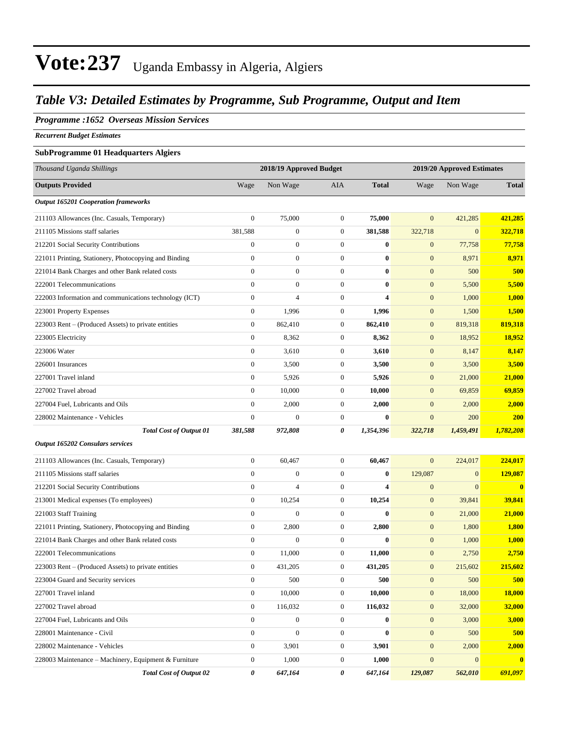### *Table V3: Detailed Estimates by Programme, Sub Programme, Output and Item*

#### *Programme :1652 Overseas Mission Services*

*Recurrent Budget Estimates*

#### **SubProgramme 01 Headquarters Algiers**

| Thousand Uganda Shillings                              |                  | 2018/19 Approved Budget<br>2019/20 Approved Estimates |                  |              |                  |              |              |
|--------------------------------------------------------|------------------|-------------------------------------------------------|------------------|--------------|------------------|--------------|--------------|
| <b>Outputs Provided</b>                                | Wage             | Non Wage                                              | <b>AIA</b>       | <b>Total</b> | Wage             | Non Wage     | <b>Total</b> |
| <b>Output 165201 Cooperation frameworks</b>            |                  |                                                       |                  |              |                  |              |              |
| 211103 Allowances (Inc. Casuals, Temporary)            | $\boldsymbol{0}$ | 75,000                                                | $\boldsymbol{0}$ | 75,000       | $\overline{0}$   | 421,285      | 421,285      |
| 211105 Missions staff salaries                         | 381,588          | $\boldsymbol{0}$                                      | $\boldsymbol{0}$ | 381,588      | 322,718          | $\mathbf{0}$ | 322,718      |
| 212201 Social Security Contributions                   | $\boldsymbol{0}$ | $\boldsymbol{0}$                                      | $\boldsymbol{0}$ | $\bf{0}$     | $\boldsymbol{0}$ | 77,758       | 77,758       |
| 221011 Printing, Stationery, Photocopying and Binding  | $\boldsymbol{0}$ | $\boldsymbol{0}$                                      | $\boldsymbol{0}$ | $\bf{0}$     | $\boldsymbol{0}$ | 8,971        | 8,971        |
| 221014 Bank Charges and other Bank related costs       | $\boldsymbol{0}$ | $\boldsymbol{0}$                                      | $\boldsymbol{0}$ | $\bf{0}$     | $\mathbf{0}$     | 500          | 500          |
| 222001 Telecommunications                              | $\overline{0}$   | $\boldsymbol{0}$                                      | $\boldsymbol{0}$ | $\bf{0}$     | $\mathbf{0}$     | 5,500        | 5,500        |
| 222003 Information and communications technology (ICT) | $\boldsymbol{0}$ | $\overline{4}$                                        | $\boldsymbol{0}$ | 4            | $\mathbf{0}$     | 1,000        | 1,000        |
| 223001 Property Expenses                               | $\boldsymbol{0}$ | 1,996                                                 | $\boldsymbol{0}$ | 1,996        | $\boldsymbol{0}$ | 1,500        | 1,500        |
| 223003 Rent – (Produced Assets) to private entities    | $\boldsymbol{0}$ | 862,410                                               | $\boldsymbol{0}$ | 862,410      | $\boldsymbol{0}$ | 819,318      | 819,318      |
| 223005 Electricity                                     | $\boldsymbol{0}$ | 8,362                                                 | $\boldsymbol{0}$ | 8,362        | $\boldsymbol{0}$ | 18,952       | 18,952       |
| 223006 Water                                           | $\boldsymbol{0}$ | 3,610                                                 | $\boldsymbol{0}$ | 3,610        | $\boldsymbol{0}$ | 8,147        | 8,147        |
| 226001 Insurances                                      | $\boldsymbol{0}$ | 3,500                                                 | $\boldsymbol{0}$ | 3,500        | $\boldsymbol{0}$ | 3,500        | 3,500        |
| 227001 Travel inland                                   | $\boldsymbol{0}$ | 5,926                                                 | $\boldsymbol{0}$ | 5,926        | $\boldsymbol{0}$ | 21,000       | 21,000       |
| 227002 Travel abroad                                   | $\boldsymbol{0}$ | 10,000                                                | $\boldsymbol{0}$ | 10,000       | $\boldsymbol{0}$ | 69,859       | 69,859       |
| 227004 Fuel, Lubricants and Oils                       | $\boldsymbol{0}$ | 2,000                                                 | $\boldsymbol{0}$ | 2,000        | $\mathbf{0}$     | 2,000        | 2,000        |
| 228002 Maintenance - Vehicles                          | $\boldsymbol{0}$ | $\overline{0}$                                        | $\boldsymbol{0}$ | $\bf{0}$     | $\boldsymbol{0}$ | 200          | <b>200</b>   |
| <b>Total Cost of Output 01</b>                         | 381,588          | 972,808                                               | 0                | 1,354,396    | 322,718          | 1,459,491    | 1,782,208    |
| Output 165202 Consulars services                       |                  |                                                       |                  |              |                  |              |              |
| 211103 Allowances (Inc. Casuals, Temporary)            | $\boldsymbol{0}$ | 60,467                                                | $\boldsymbol{0}$ | 60,467       | $\overline{0}$   | 224,017      | 224,017      |
| 211105 Missions staff salaries                         | $\overline{0}$   | $\boldsymbol{0}$                                      | $\boldsymbol{0}$ | $\bf{0}$     | 129,087          | $\mathbf{0}$ | 129,087      |
| 212201 Social Security Contributions                   | $\boldsymbol{0}$ | $\overline{4}$                                        | $\boldsymbol{0}$ | 4            | $\mathbf{0}$     | $\mathbf{0}$ | $\mathbf{0}$ |
| 213001 Medical expenses (To employees)                 | $\boldsymbol{0}$ | 10,254                                                | $\boldsymbol{0}$ | 10,254       | $\boldsymbol{0}$ | 39,841       | 39,841       |
| 221003 Staff Training                                  | $\boldsymbol{0}$ | $\boldsymbol{0}$                                      | $\boldsymbol{0}$ | $\bf{0}$     | $\boldsymbol{0}$ | 21,000       | 21,000       |
| 221011 Printing, Stationery, Photocopying and Binding  | $\boldsymbol{0}$ | 2,800                                                 | $\boldsymbol{0}$ | 2,800        | $\boldsymbol{0}$ | 1,800        | 1,800        |
| 221014 Bank Charges and other Bank related costs       | $\boldsymbol{0}$ | $\mathbf{0}$                                          | $\boldsymbol{0}$ | $\mathbf{0}$ | $\boldsymbol{0}$ | 1,000        | <b>1,000</b> |
| 222001 Telecommunications                              | $\boldsymbol{0}$ | 11,000                                                | $\boldsymbol{0}$ | 11,000       | $\mathbf{0}$     | 2,750        | 2,750        |
| 223003 Rent – (Produced Assets) to private entities    | $\boldsymbol{0}$ | 431,205                                               | $\boldsymbol{0}$ | 431,205      | $\boldsymbol{0}$ | 215,602      | 215,602      |
| 223004 Guard and Security services                     | $\boldsymbol{0}$ | 500                                                   | $\boldsymbol{0}$ | 500          | $\mathbf{0}$     | 500          | 500          |
| 227001 Travel inland                                   | $\boldsymbol{0}$ | 10,000                                                | $\boldsymbol{0}$ | 10,000       | $\mathbf{0}$     | 18,000       | 18,000       |
| 227002 Travel abroad                                   | $\boldsymbol{0}$ | 116,032                                               | $\mathbf{0}$     | 116,032      | $\mathbf{0}$     | 32,000       | 32,000       |
| 227004 Fuel, Lubricants and Oils                       | $\boldsymbol{0}$ | $\boldsymbol{0}$                                      | $\boldsymbol{0}$ | $\bf{0}$     | $\mathbf{0}$     | 3,000        | 3,000        |
| 228001 Maintenance - Civil                             | $\boldsymbol{0}$ | $\boldsymbol{0}$                                      | $\boldsymbol{0}$ | $\bf{0}$     | $\boldsymbol{0}$ | 500          | 500          |
| 228002 Maintenance - Vehicles                          | $\boldsymbol{0}$ | 3,901                                                 | $\boldsymbol{0}$ | 3,901        | $\mathbf{0}$     | 2,000        | 2,000        |
| 228003 Maintenance - Machinery, Equipment & Furniture  | $\boldsymbol{0}$ | 1,000                                                 | $\boldsymbol{0}$ | 1,000        | $\boldsymbol{0}$ | $\mathbf{0}$ | $\mathbf{0}$ |
| <b>Total Cost of Output 02</b>                         | 0                | 647,164                                               | 0                | 647,164      | 129,087          | 562,010      | 691,097      |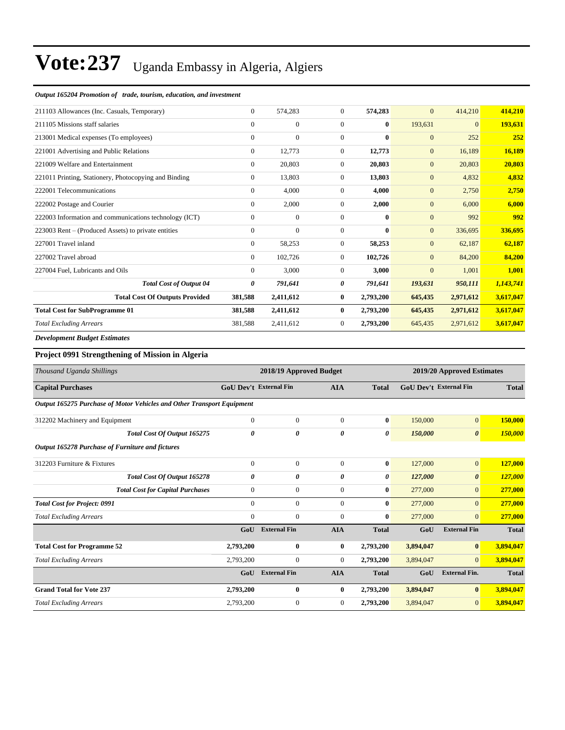#### *Output 165204 Promotion of trade, tourism, education, and investment*

| 211103 Allowances (Inc. Casuals, Temporary)            | $\overline{0}$ | 574,283        | $\overline{0}$ | 574,283      | $\overline{0}$ | 414,210        | 414,210   |
|--------------------------------------------------------|----------------|----------------|----------------|--------------|----------------|----------------|-----------|
| 211105 Missions staff salaries                         | $\Omega$       | $\mathbf{0}$   | $\Omega$       | $\bf{0}$     | 193,631        | $\overline{0}$ | 193,631   |
| 213001 Medical expenses (To employees)                 | $\Omega$       | $\overline{0}$ | $\Omega$       | $\bf{0}$     | $\mathbf{0}$   | 252            | 252       |
| 221001 Advertising and Public Relations                | $\overline{0}$ | 12,773         | $\Omega$       | 12,773       | $\mathbf{0}$   | 16,189         | 16,189    |
| 221009 Welfare and Entertainment                       | $\overline{0}$ | 20,803         | $\Omega$       | 20,803       | $\mathbf{0}$   | 20,803         | 20,803    |
| 221011 Printing, Stationery, Photocopying and Binding  | $\overline{0}$ | 13,803         | $\mathbf{0}$   | 13,803       | $\mathbf{0}$   | 4,832          | 4,832     |
| 222001 Telecommunications                              | $\overline{0}$ | 4,000          | $\overline{0}$ | 4,000        | $\mathbf{0}$   | 2,750          | 2,750     |
| 222002 Postage and Courier                             | $\overline{0}$ | 2,000          | $\overline{0}$ | 2,000        | $\mathbf{0}$   | 6,000          | 6,000     |
| 222003 Information and communications technology (ICT) | $\overline{0}$ | $\overline{0}$ | $\mathbf{0}$   | $\mathbf{0}$ | $\mathbf{0}$   | 992            | 992       |
| 223003 Rent – (Produced Assets) to private entities    | $\overline{0}$ | $\overline{0}$ | $\mathbf{0}$   | $\bf{0}$     | $\mathbf{0}$   | 336,695        | 336,695   |
| 227001 Travel inland                                   | $\overline{0}$ | 58,253         | $\overline{0}$ | 58,253       | $\mathbf{0}$   | 62,187         | 62,187    |
| 227002 Travel abroad                                   | $\overline{0}$ | 102,726        | $\mathbf{0}$   | 102,726      | $\mathbf{0}$   | 84,200         | 84,200    |
| 227004 Fuel, Lubricants and Oils                       | $\overline{0}$ | 3,000          | $\overline{0}$ | 3,000        | $\mathbf{0}$   | 1,001          | 1,001     |
| <b>Total Cost of Output 04</b>                         | 0              | 791,641        | 0              | 791,641      | 193,631        | 950,111        | 1,143,741 |
| <b>Total Cost Of Outputs Provided</b>                  | 381,588        | 2,411,612      | $\bf{0}$       | 2,793,200    | 645,435        | 2,971,612      | 3,617,047 |
| <b>Total Cost for SubProgramme 01</b>                  | 381,588        | 2,411,612      | $\mathbf{0}$   | 2,793,200    | 645,435        | 2,971,612      | 3,617,047 |
| <b>Total Excluding Arrears</b>                         | 381,588        | 2,411,612      | $\overline{0}$ | 2,793,200    | 645,435        | 2,971,612      | 3,617,047 |
| <b>Development Budget Estimates</b>                    |                |                |                |              |                |                |           |

#### **Project 0991 Strengthening of Mission in Algeria**

| Thousand Uganda Shillings                                              | 2018/19 Approved Budget       |                     |                  |              | 2019/20 Approved Estimates |                               |              |
|------------------------------------------------------------------------|-------------------------------|---------------------|------------------|--------------|----------------------------|-------------------------------|--------------|
| <b>Capital Purchases</b>                                               | <b>GoU Dev't External Fin</b> |                     | <b>AIA</b>       | <b>Total</b> |                            | <b>GoU Dev't External Fin</b> | <b>Total</b> |
| Output 165275 Purchase of Motor Vehicles and Other Transport Equipment |                               |                     |                  |              |                            |                               |              |
| 312202 Machinery and Equipment                                         | $\mathbf{0}$                  | $\mathbf{0}$        | $\overline{0}$   | $\bf{0}$     | 150,000                    | $\mathbf{0}$                  | 150,000      |
| <b>Total Cost Of Output 165275</b>                                     | 0                             | 0                   | 0                | 0            | 150,000                    | $\boldsymbol{\theta}$         | 150,000      |
| Output 165278 Purchase of Furniture and fictures                       |                               |                     |                  |              |                            |                               |              |
| 312203 Furniture & Fixtures                                            | $\mathbf{0}$                  | $\mathbf{0}$        | $\overline{0}$   | $\bf{0}$     | 127,000                    | $\mathbf{0}$                  | 127,000      |
| Total Cost Of Output 165278                                            | 0                             | 0                   | 0                | 0            | 127,000                    | $\boldsymbol{\theta}$         | 127,000      |
| <b>Total Cost for Capital Purchases</b>                                | $\mathbf{0}$                  | $\boldsymbol{0}$    | $\overline{0}$   | $\bf{0}$     | 277,000                    | $\mathbf{0}$                  | 277,000      |
| <b>Total Cost for Project: 0991</b>                                    | $\mathbf{0}$                  | $\mathbf{0}$        | $\overline{0}$   | $\bf{0}$     | 277,000                    | $\overline{0}$                | 277,000      |
| <b>Total Excluding Arrears</b>                                         | $\mathbf{0}$                  | $\mathbf{0}$        | $\overline{0}$   | $\bf{0}$     | 277,000                    | $\overline{0}$                | 277,000      |
|                                                                        | GoU                           | <b>External Fin</b> | <b>AIA</b>       | <b>Total</b> | GoU                        | <b>External Fin</b>           | <b>Total</b> |
| <b>Total Cost for Programme 52</b>                                     | 2,793,200                     | $\bf{0}$            | $\bf{0}$         | 2,793,200    | 3,894,047                  | $\bf{0}$                      | 3,894,047    |
| <b>Total Excluding Arrears</b>                                         | 2,793,200                     | $\boldsymbol{0}$    | $\boldsymbol{0}$ | 2,793,200    | 3,894,047                  | $\overline{0}$                | 3,894,047    |
|                                                                        | GoU                           | <b>External Fin</b> | <b>AIA</b>       | <b>Total</b> | GoU                        | <b>External Fin.</b>          | <b>Total</b> |
| <b>Grand Total for Vote 237</b>                                        | 2,793,200                     | $\bf{0}$            | $\bf{0}$         | 2,793,200    | 3,894,047                  | $\bf{0}$                      | 3,894,047    |
| <b>Total Excluding Arrears</b>                                         | 2,793,200                     | $\mathbf{0}$        | $\overline{0}$   | 2,793,200    | 3,894,047                  | $\overline{0}$                | 3,894,047    |